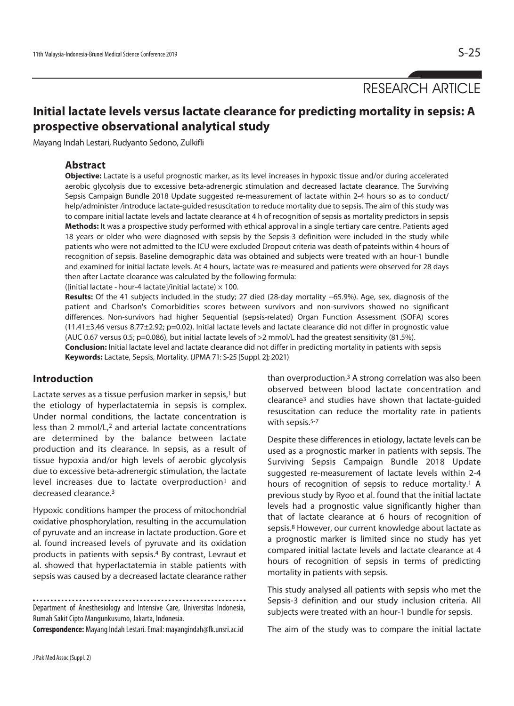RESEARCH ARTICLE

# **Initial lactate levels versus lactate clearance for predicting mortality in sepsis: A prospective observational analytical study**

Mayang Indah Lestari, Rudyanto Sedono, Zulkifli

# **Abstract**

**Objective:** Lactate is a useful prognostic marker, as its level increases in hypoxic tissue and/or during accelerated aerobic glycolysis due to excessive beta-adrenergic stimulation and decreased lactate clearance. The Surviving Sepsis Campaign Bundle 2018 Update suggested re-measurement of lactate within 2-4 hours so as to conduct/ help/administer /introduce lactate-guided resuscitation to reduce mortality due to sepsis. The aim of this study was to compare initial lactate levels and lactate clearance at 4 h of recognition of sepsis as mortality predictors in sepsis **Methods:** It was a prospective study performed with ethical approval in a single tertiary care centre. Patients aged 18 years or older who were diagnosed with sepsis by the Sepsis-3 definition were included in the study while patients who were not admitted to the ICU were excluded Dropout criteria was death of pateints within 4 hours of recognition of sepsis. Baseline demographic data was obtained and subjects were treated with an hour-1 bundle and examined for initial lactate levels. At 4 hours, lactate was re-measured and patients were observed for 28 days then after Lactate clearance was calculated by the following formula:

([initial lactate - hour-4 lactate]/initial lactate)  $\times$  100.

**Results:** Of the 41 subjects included in the study; 27 died (28-day mortality --65.9%). Age, sex, diagnosis of the patient and Charlson's Comorbidities scores between survivors and non-survivors showed no significant differences. Non-survivors had higher Sequential (sepsis-related) Organ Function Assessment (SOFA) scores (11.41±3.46 versus 8.77±2.92; p=0.02). Initial lactate levels and lactate clearance did not differ in prognostic value (AUC 0.67 versus 0.5; p=0.086), but initial lactate levels of >2 mmol/L had the greatest sensitivity (81.5%).

**Conclusion:** Initial lactate level and lactate clearance did not differ in predicting mortality in patients with sepsis **Keywords:** Lactate, Sepsis, Mortality. (JPMA 71: S-25 [Suppl. 2]; 2021)

## **Introduction**

Lactate serves as a tissue perfusion marker in sepsis, $1$  but the etiology of hyperlactatemia in sepsis is complex. Under normal conditions, the lactate concentration is less than 2 mmol/L,2 and arterial lactate concentrations are determined by the balance between lactate production and its clearance. In sepsis, as a result of tissue hypoxia and/or high levels of aerobic glycolysis due to excessive beta-adrenergic stimulation, the lactate level increases due to lactate overproduction<sup>1</sup> and decreased clearance.3

Hypoxic conditions hamper the process of mitochondrial oxidative phosphorylation, resulting in the accumulation of pyruvate and an increase in lactate production. Gore et al. found increased levels of pyruvate and its oxidation products in patients with sepsis.4 By contrast, Levraut et al. showed that hyperlactatemia in stable patients with sepsis was caused by a decreased lactate clearance rather

Department of Anesthesiology and Intensive Care, Universitas Indonesia,

Rumah Sakit Cipto Mangunkusumo, Jakarta, Indonesia.

**Correspondence:** Mayang Indah Lestari. Email: mayangindah@fk.unsri.ac.id

than overproduction.3 A strong correlation was also been observed between blood lactate concentration and clearance3 and studies have shown that lactate-guided resuscitation can reduce the mortality rate in patients with sepsis.<sup>5-7</sup>

Despite these differences in etiology, lactate levels can be used as a prognostic marker in patients with sepsis. The Surviving Sepsis Campaign Bundle 2018 Update suggested re-measurement of lactate levels within 2-4 hours of recognition of sepsis to reduce mortality.<sup>1</sup> A previous study by Ryoo et al. found that the initial lactate levels had a prognostic value significantly higher than that of lactate clearance at 6 hours of recognition of sepsis.8 However, our current knowledge about lactate as a prognostic marker is limited since no study has yet compared initial lactate levels and lactate clearance at 4 hours of recognition of sepsis in terms of predicting mortality in patients with sepsis.

This study analysed all patients with sepsis who met the Sepsis-3 definition and our study inclusion criteria. All subjects were treated with an hour-1 bundle for sepsis.

The aim of the study was to compare the initial lactate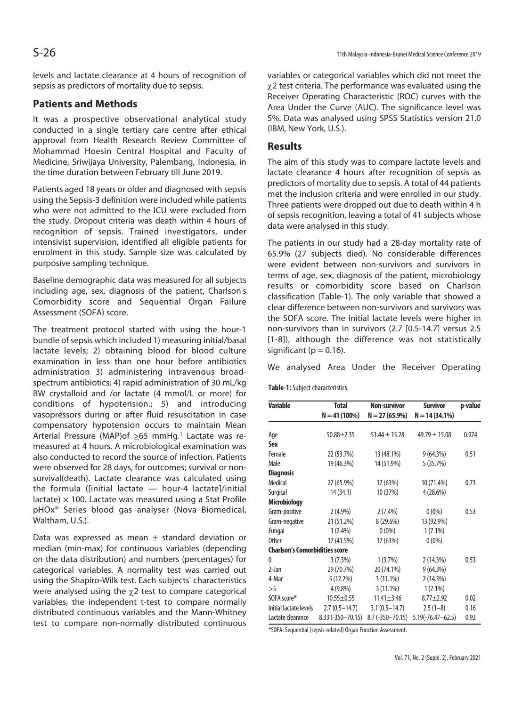levels and lactate clearance at 4 hours of recognition of sepsis as predictors of mortality due to sepsis.

## **Patients and Methods**

It was a prospective observational analytical study conducted in a single tertiary care centre after ethical approval from Health Research Review Committee of Mohammad Hoesin Central Hospital and Faculty of Medicine, Sriwijaya University, Palembang, Indonesia, in the time duration between February till June 2019.

Patients aged 18 years or older and diagnosed with sepsis using the Sepsis-3 definition were included while patients who were not admitted to the ICU were excluded from the study. Dropout criteria was death within 4 hours of recognition of sepsis. Trained investigators, under intensivist supervision, identified all eligible patients for enrolment in this study. Sample size was calculated by purposive sampling technique.

Baseline demographic data was measured for all subjects including age, sex, diagnosis of the patient, Charlson's Comorbidity score and Sequential Organ Failure Assessment (SOFA) score.

The treatment protocol started with using the hour-1 bundle of sepsis which included 1) measuring initial/basal lactate levels; 2) obtaining blood for blood culture examination in less than one hour before antibiotics administration 3) administering intravenous broadspectrum antibiotics; 4) rapid administration of 30 mL/kg BW crystalloid and /or lactate (4 mmol/L or more) for conditions of hypotension.; 5) and introducing vasopressors during or after fluid resuscitation in case compensatory hypotension occurs to maintain Mean Arterial Pressure (MAP)of  $\geq 65$  mmHg.<sup>1</sup> Lactate was remeasured at 4 hours. A microbiological examination was also conducted to record the source of infection. Patients were observed for 28 days, for outcomes; survival or nonsurvival(death). Lactate clearance was calculated using the formula ([initial lactate — hour-4 lactate]/initial lactate)  $\times$  100. Lactate was measured using a Stat Profile pHOx® Series blood gas analyser (Nova Biomedical, Waltham, U.S.).

Data was expressed as mean  $\pm$  standard deviation or median (min-max) for continuous variables (depending on the data distribution) and numbers (percentages) for categorical variables. A normality test was carried out using the Shapiro-Wilk test. Each subjects' characteristics were analysed using the  $\chi$ 2 test to compare categorical variables, the independent t-test to compare normally distributed continuous variables and the Mann-Whitney test to compare non-normally distributed continuous

variables or categorical variables which did not meet the  $\chi$ 2 test criteria. The performance was evaluated using the Receiver Operating Characteristic (ROC) curves with the Area Under the Curve (AUC). The significance level was 5%. Data was analysed using SPSS Statistics version 21.0 (IBM, New York, U.S.).

## **Results**

The aim of this study was to compare lactate levels and lactate clearance 4 hours after recognition of sepsis as predictors of mortality due to sepsis. A total of 44 patients met the inclusion criteria and were enrolled in our study. Three patients were dropped out due to death within 4 h of sepsis recognition, leaving a total of 41 subjects whose data were analysed in this study.

The patients in our study had a 28-day mortality rate of 65.9% (27 subjects died). No considerable differences were evident between non-survivors and survivors in terms of age, sex, diagnosis of the patient, microbiology results or comorbidity score based on Charlson classification (Table-1). The only variable that showed a clear difference between non-survivors and survivors was the SOFA score. The initial lactate levels were higher in non-survivors than in survivors (2.7 [0.5-14.7] versus 2.5 [1-8]), although the difference was not statistically significant ( $p = 0.16$ ).

We analysed Area Under the Receiver Operating

**Table-1:** Subject characteristics.

| Variable                              | <b>Total</b><br>$N = 41(100\%)$ | <b>Non-survivor</b><br>$N = 27(65.9\%)$ | <b>Survivor</b><br>$N = 14(34.1\%)$ | p-value |
|---------------------------------------|---------------------------------|-----------------------------------------|-------------------------------------|---------|
| Age                                   | $50.88 \pm 2.35$                | $51.44 \pm 15.28$                       | $49.79 \pm 15.08$                   | 0.974   |
| <b>Sex</b>                            |                                 |                                         |                                     |         |
| Female                                | 22 (53.7%)                      | 13 (48.1%)                              | $9(64.3\%)$                         | 0.51    |
| Male                                  | 19 (46.3%)                      | 14 (51.9%)                              | 5(35.7%)                            |         |
| <b>Diagnosis</b>                      |                                 |                                         |                                     |         |
| Medical                               | 27 (65.9%)                      | 17 (63%)                                | 10 (71.4%)                          | 0.73    |
| Surgical                              | 14 (34.1)                       | 10 (37%)                                | 4(28.6%)                            |         |
| <b>Microbiology</b>                   |                                 |                                         |                                     |         |
| Gram-positive                         | $2(4.9\%)$                      | 2(7.4%)                                 | $0(0\%)$                            | 0.53    |
| Gram-negative                         | 21 (51.2%)                      | 8 (29.6%)                               | 13 (92.9%)                          |         |
| Fungal                                | $1(2.4\%)$                      | $0(0\%)$                                | $1(7.1\%)$                          |         |
| <b>Other</b>                          | 17 (41.5%)                      | 17 (63%)                                | $0(0\%)$                            |         |
| <b>Charlson's Comorbidities score</b> |                                 |                                         |                                     |         |
| $\theta$                              | 3(7.3%)                         | 1(3.7%)                                 | 2(14.3%)                            | 0.53    |
| 2-Jan                                 | 29 (70.7%)                      | 20 (74.1%)                              | $9(64.3\%)$                         |         |
| 4-Mar                                 | 5(12.2%)                        | $3(11.1\%)$                             | 2(14.3%)                            |         |
| >5                                    | $4(9.8\%)$                      | $3(11.1\%)$                             | $1(7.1\%)$                          |         |
| SOFA score*                           | $10.55 \pm 0.55$                | $11.41 \pm 3.46$                        | $8.77 \pm 2.92$                     | 0.02    |
| Initial lactate levels                | $2.7(0.5 - 14.7)$               | $3.1(0.5 - 14.7)$                       | $2.5(1-8)$                          | 0.16    |
| Lactate clearance                     | 8.33 (-350-70.15)               | $8.7(-350 - 70.15)$                     | $5.19(-76.47 - 62.5)$               | 0.92    |

\*SOFA: Sequential (sepsis-related) Organ Function Assessment.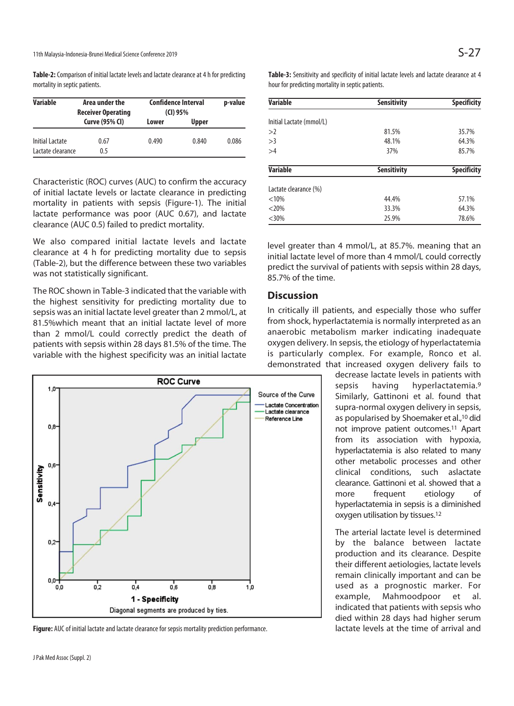11th Malaysia-Indonesia-Brunei Medical Science Conference 2019  $S-27$ 

**Table-2:** Comparison of initial lactate levels and lactate clearance at 4 h for predicting mortality in septic patients.

| <b>Variable</b>                      | Area under the<br><b>Receiver Operating</b> | <b>Confidence Interval</b><br>(Cl) 95% |              | p-value |
|--------------------------------------|---------------------------------------------|----------------------------------------|--------------|---------|
|                                      | <b>Curve (95% CI)</b>                       | Lower                                  | <b>Upper</b> |         |
| Initial Lactate<br>Lactate clearance | 0.67<br>0.5                                 | 0.490                                  | 0.840        | 0.086   |

Characteristic (ROC) curves (AUC) to confirm the accuracy of initial lactate levels or lactate clearance in predicting mortality in patients with sepsis (Figure-1). The initial lactate performance was poor (AUC 0.67), and lactate clearance (AUC 0.5) failed to predict mortality.

We also compared initial lactate levels and lactate clearance at 4 h for predicting mortality due to sepsis (Table-2), but the difference between these two variables was not statistically significant.

The ROC shown in Table-3 indicated that the variable with the highest sensitivity for predicting mortality due to sepsis was an initial lactate level greater than 2 mmol/L, at 81.5%which meant that an initial lactate level of more than 2 mmol/L could correctly predict the death of patients with sepsis within 28 days 81.5% of the time. The variable with the highest specificity was an initial lactate



**Figure:** AUC of initial lactate and lactate clearance for sepsis mortality prediction performance.

**Table-3:** Sensitivity and specificity of initial lactate levels and lactate clearance at 4 hour for predicting mortality in septic patients.

| <b>Variable</b>          | <b>Sensitivity</b> | <b>Specificity</b> |
|--------------------------|--------------------|--------------------|
| Initial Lactate (mmol/L) |                    |                    |
| >2                       | 81.5%              | 35.7%              |
| >3                       | 48.1%              | 64.3%              |
| >4                       | 37%                | 85.7%              |
| <b>Variable</b>          | <b>Sensitivity</b> | <b>Specificity</b> |
| Lactate clearance (%)    |                    |                    |
| < 10%                    | 44.4%              | 57.1%              |
| $< 20\%$                 | 33.3%              | 64.3%              |
| $<30\%$                  | 25.9%              | 78.6%              |

level greater than 4 mmol/L, at 85.7%. meaning that an initial lactate level of more than 4 mmol/L could correctly predict the survival of patients with sepsis within 28 days, 85.7% of the time.

## **Discussion**

In critically ill patients, and especially those who suffer from shock, hyperlactatemia is normally interpreted as an anaerobic metabolism marker indicating inadequate oxygen delivery. In sepsis, the etiology of hyperlactatemia is particularly complex. For example, Ronco et al. demonstrated that increased oxygen delivery fails to

decrease lactate levels in patients with sepsis having hyperlactatemia.9 Similarly, Gattinoni et al. found that supra-normal oxygen delivery in sepsis, as popularised by Shoemaker et al.,10 did not improve patient outcomes.11 Apart from its association with hypoxia, hyperlactatemia is also related to many other metabolic processes and other clinical conditions, such aslactate clearance. Gattinoni et al. showed that a more frequent etiology of hyperlactatemia in sepsis is a diminished oxygen utilisation by tissues.12

The arterial lactate level is determined by the balance between lactate production and its clearance. Despite their different aetiologies, lactate levels remain clinically important and can be used as a prognostic marker. For example, Mahmoodpoor et al. indicated that patients with sepsis who died within 28 days had higher serum lactate levels at the time of arrival and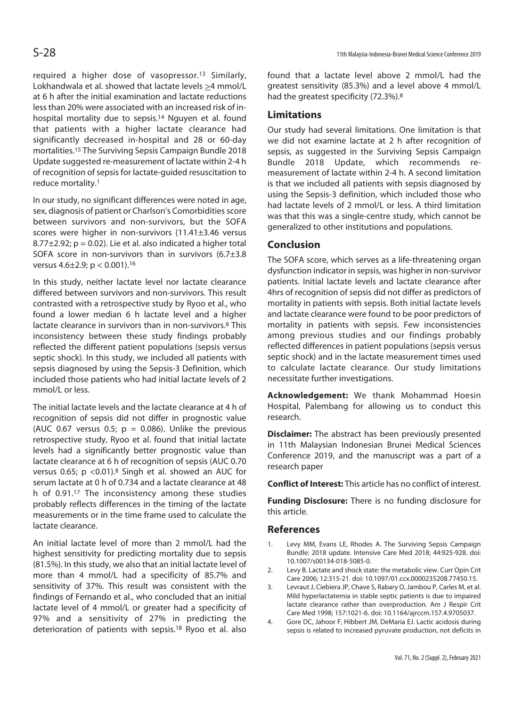required a higher dose of vasopressor.13 Similarly, Lokhandwala et al. showed that lactate levels >4 mmol/L at 6 h after the initial examination and lactate reductions less than 20% were associated with an increased risk of inhospital mortality due to sepsis.<sup>14</sup> Nguyen et al. found that patients with a higher lactate clearance had significantly decreased in-hospital and 28 or 60-day mortalities.15 The Surviving Sepsis Campaign Bundle 2018 Update suggested re-measurement of lactate within 2-4 h of recognition of sepsis for lactate-guided resuscitation to reduce mortality.1

In our study, no significant differences were noted in age, sex, diagnosis of patient or Charlson's Comorbidities score between survivors and non-survivors, but the SOFA scores were higher in non-survivors (11.41±3.46 versus  $8.77\pm2.92$ ;  $p = 0.02$ ). Lie et al. also indicated a higher total SOFA score in non-survivors than in survivors (6.7±3.8 versus 4.6±2.9; p < 0.001).16

In this study, neither lactate level nor lactate clearance differed between survivors and non-survivors. This result contrasted with a retrospective study by Ryoo et al., who found a lower median 6 h lactate level and a higher lactate clearance in survivors than in non-survivors.8 This inconsistency between these study findings probably reflected the different patient populations (sepsis versus septic shock). In this study, we included all patients with sepsis diagnosed by using the Sepsis-3 Definition, which included those patients who had initial lactate levels of 2 mmol/L or less.

The initial lactate levels and the lactate clearance at 4 h of recognition of sepsis did not differ in prognostic value (AUC 0.67 versus 0.5;  $p = 0.086$ ). Unlike the previous retrospective study, Ryoo et al. found that initial lactate levels had a significantly better prognostic value than lactate clearance at 6 h of recognition of sepsis (AUC 0.70 versus 0.65;  $p < 0.01$ ).<sup>8</sup> Singh et al. showed an AUC for serum lactate at 0 h of 0.734 and a lactate clearance at 48 h of 0.91.17 The inconsistency among these studies probably reflects differences in the timing of the lactate measurements or in the time frame used to calculate the lactate clearance.

An initial lactate level of more than 2 mmol/L had the highest sensitivity for predicting mortality due to sepsis (81.5%). In this study, we also that an initial lactate level of more than 4 mmol/L had a specificity of 85.7% and sensitivity of 37%. This result was consistent with the findings of Fernando et al., who concluded that an initial lactate level of 4 mmol/L or greater had a specificity of 97% and a sensitivity of 27% in predicting the deterioration of patients with sepsis.18 Ryoo et al. also

found that a lactate level above 2 mmol/L had the greatest sensitivity (85.3%) and a level above 4 mmol/L had the greatest specificity (72.3%).8

#### **Limitations**

Our study had several limitations. One limitation is that we did not examine lactate at 2 h after recognition of sepsis, as suggested in the Surviving Sepsis Campaign Bundle 2018 Update, which recommends remeasurement of lactate within 2-4 h. A second limitation is that we included all patients with sepsis diagnosed by using the Sepsis-3 definition, which included those who had lactate levels of 2 mmol/L or less. A third limitation was that this was a single-centre study, which cannot be generalized to other institutions and populations.

#### **Conclusion**

The SOFA score, which serves as a life-threatening organ dysfunction indicator in sepsis, was higher in non-survivor patients. Initial lactate levels and lactate clearance after 4hrs of recognition of sepsis did not differ as predictors of mortality in patients with sepsis. Both initial lactate levels and lactate clearance were found to be poor predictors of mortality in patients with sepsis. Few inconsistencies among previous studies and our findings probably reflected differences in patient populations (sepsis versus septic shock) and in the lactate measurement times used to calculate lactate clearance. Our study limitations necessitate further investigations.

**Acknowledgement:** We thank Mohammad Hoesin Hospital, Palembang for allowing us to conduct this research.

**Disclaimer:** The abstract has been previously presented in 11th Malaysian Indonesian Brunei Medical Sciences Conference 2019, and the manuscript was a part of a research paper

**Conflict of Interest:** This article has no conflict of interest.

**Funding Disclosure:** There is no funding disclosure for this article.

#### **References**

- 1. Levy MM, Evans LE, Rhodes A. The Surviving Sepsis Campaign Bundle: 2018 update. Intensive Care Med 2018; 44:925-928. doi: 10.1007/s00134-018-5085-0.
- 2. Levy B. Lactate and shock state: the metabolic view. Curr Opin Crit Care 2006; 12:315-21. doi: 10.1097/01.ccx.0000235208.77450.15.
- 3. Levraut J, Ciebiera JP, Chave S, Rabary O, Jambou P, Carles M, et al. Mild hyperlactatemia in stable septic patients is due to impaired lactate clearance rather than overproduction. Am J Respir Crit Care Med 1998; 157:1021-6. doi: 10.1164/ajrccm.157.4.9705037.
- 4. Gore DC, Jahoor F, Hibbert JM, DeMaria EJ. Lactic acidosis during sepsis is related to increased pyruvate production, not deficits in